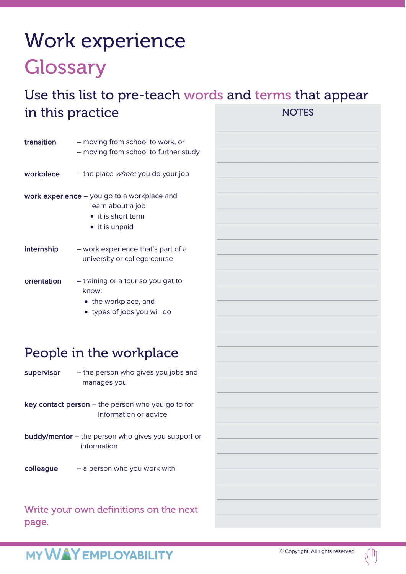## Work experience **Glossary**

#### Use this list to pre-teach words and terms that appear in this practice **NOTES**

| <b>transition</b> | - moving from school to work, or<br>- moving from school to further study                                  |
|-------------------|------------------------------------------------------------------------------------------------------------|
| workplace         | - the place <i>where</i> you do your job                                                                   |
|                   | work experience $-$ you go to a workplace and<br>learn about a job<br>• it is short term<br>• it is unpaid |
| internship        | - work experience that's part of a<br>university or college course                                         |
| orientation       | - training or a tour so you get to<br>know:<br>• the workplace, and<br>• types of jobs you will do         |

### People in the workplace

supervisor  $-$  the person who gives you jobs and manages you

key contact person – the person who you go to for information or advice

- buddy/mentor the person who gives you support or information
- colleague a person who you work with

Write your own definitions on the next page.

# \_\_\_\_\_\_\_\_\_\_\_\_\_\_\_\_\_\_\_\_\_\_\_\_\_\_\_\_\_\_\_\_\_\_\_\_\_\_ \_\_\_\_\_\_\_\_\_\_\_\_\_\_\_\_\_\_\_\_\_\_\_\_\_\_\_\_\_\_\_\_\_\_\_\_\_\_ \_\_\_\_\_\_\_\_\_\_\_\_\_\_\_\_\_\_\_\_\_\_\_\_\_\_\_\_\_\_\_\_\_\_\_\_\_\_ \_\_\_\_\_\_\_\_\_\_\_\_\_\_\_\_\_\_\_\_\_\_\_\_\_\_\_\_\_\_\_\_\_\_\_\_\_\_ \_\_\_\_\_\_\_\_\_\_\_\_\_\_\_\_\_\_\_\_\_\_\_\_\_\_\_\_\_\_\_\_\_\_\_\_\_\_ \_\_\_\_\_\_\_\_\_\_\_\_\_\_\_\_\_\_\_\_\_\_\_\_\_\_\_\_\_\_\_\_\_\_\_\_\_\_ \_\_\_\_\_\_\_\_\_\_\_\_\_\_\_\_\_\_\_\_\_\_\_\_\_\_\_\_\_\_\_\_\_\_\_\_\_\_ \_\_\_\_\_\_\_\_\_\_\_\_\_\_\_\_\_\_\_\_\_\_\_\_\_\_\_\_\_\_\_\_\_\_\_\_\_\_ \_\_\_\_\_\_\_\_\_\_\_\_\_\_\_\_\_\_\_\_\_\_\_\_\_\_\_\_\_\_\_\_\_\_\_\_\_\_ \_\_\_\_\_\_\_\_\_\_\_\_\_\_\_\_\_\_\_\_\_\_\_\_\_\_\_\_\_\_\_\_\_\_\_\_\_\_ \_\_\_\_\_\_\_\_\_\_\_\_\_\_\_\_\_\_\_\_\_\_\_\_\_\_\_\_\_\_\_\_\_\_\_\_\_\_ \_\_\_\_\_\_\_\_\_\_\_\_\_\_\_\_\_\_\_\_\_\_\_\_\_\_\_\_\_\_\_\_\_\_\_\_\_\_

### MY WAY EMPLOYABILITY

 $V_{\text{III}}$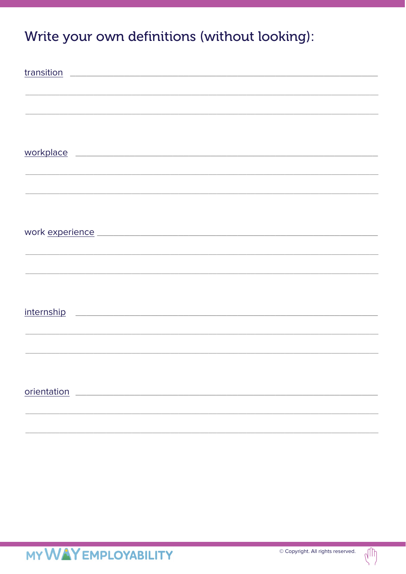### Write your own definitions (without looking):

| workplace experience and a series of the series of the series of the series of the series of the series of the                      |
|-------------------------------------------------------------------------------------------------------------------------------------|
|                                                                                                                                     |
|                                                                                                                                     |
|                                                                                                                                     |
|                                                                                                                                     |
|                                                                                                                                     |
|                                                                                                                                     |
|                                                                                                                                     |
|                                                                                                                                     |
|                                                                                                                                     |
|                                                                                                                                     |
| internship<br><u> 1989 - Johann Barn, mars and de Branch Barn, mars and de Branch Barn, mars and de Branch Barn, mars and de Br</u> |
|                                                                                                                                     |
|                                                                                                                                     |
|                                                                                                                                     |
|                                                                                                                                     |
| orientation                                                                                                                         |
|                                                                                                                                     |
|                                                                                                                                     |

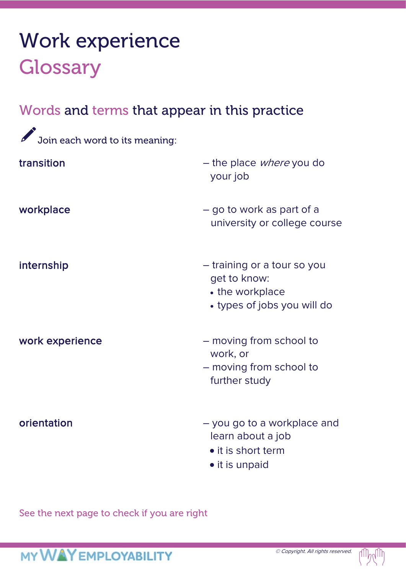### Work experience **Glossary**

### Words and terms that appear in this practice

| Join each word to its meaning: |                                                                                               |
|--------------------------------|-----------------------------------------------------------------------------------------------|
| transition                     | - the place <i>where</i> you do<br>your job                                                   |
| workplace                      | - go to work as part of a<br>university or college course                                     |
| internship                     | - training or a tour so you<br>get to know:<br>• the workplace<br>• types of jobs you will do |
| work experience                | - moving from school to<br>work, or<br>- moving from school to<br>further study               |
| orientation                    | - you go to a workplace and<br>learn about a job<br>• it is short term<br>• it is unpaid      |

See the next page to check if you are right

### **MY WAY EMPLOYABILITY**

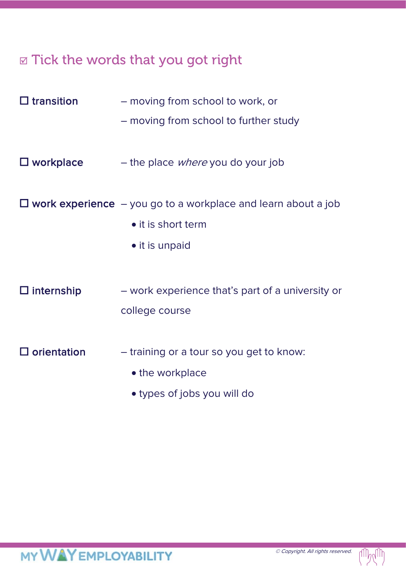### $\Box$  Tick the words that you got right

| $\Box$ transition     | - moving from school to work, or                                       |
|-----------------------|------------------------------------------------------------------------|
|                       | - moving from school to further study                                  |
|                       |                                                                        |
| $\square$ workplace   | - the place <i>where</i> you do your job                               |
|                       |                                                                        |
|                       | $\Box$ work experience $-$ you go to a workplace and learn about a job |
|                       | • it is short term                                                     |
|                       | • it is unpaid                                                         |
|                       |                                                                        |
| $\Box$ internship     | - work experience that's part of a university or                       |
|                       | college course                                                         |
|                       |                                                                        |
| $\square$ orientation | - training or a tour so you get to know:                               |
|                       | • the workplace                                                        |
|                       | • types of jobs you will do                                            |

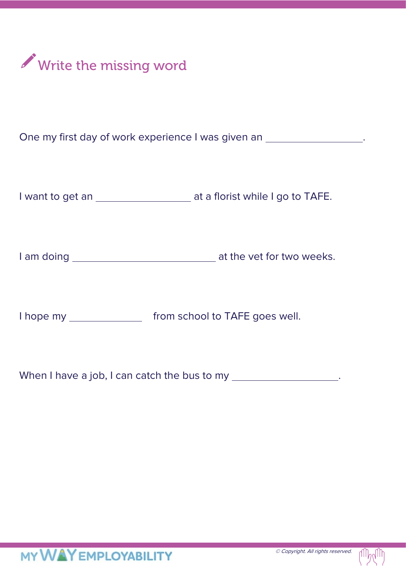

One my first day of work experience I was given an \_\_\_\_\_\_\_\_\_\_\_\_\_\_\_\_\_\_\_.

I want to get an \_\_\_\_\_\_\_\_\_\_\_\_\_\_\_\_\_\_\_\_\_ at a florist while I go to TAFE.

I am doing at the vet for two weeks.

I hope my from school to TAFE goes well.

When I have a job, I can catch the bus to my .

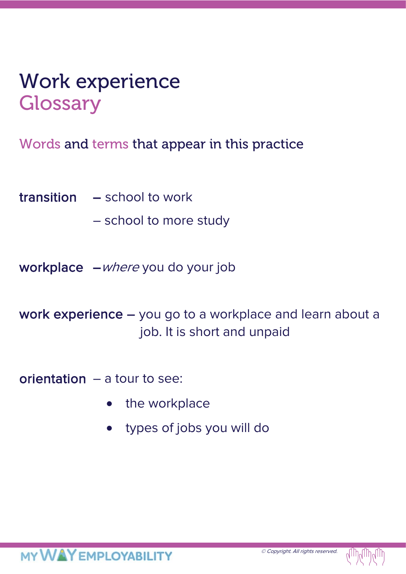### Work experience **Glossary**

Words and terms that appear in this practice

transition – school to work

– school to more study

workplace – where you do your job

work experience – you go to a workplace and learn about a job. It is short and unpaid

orientation – a tour to see:

- the workplace
- types of jobs you will do